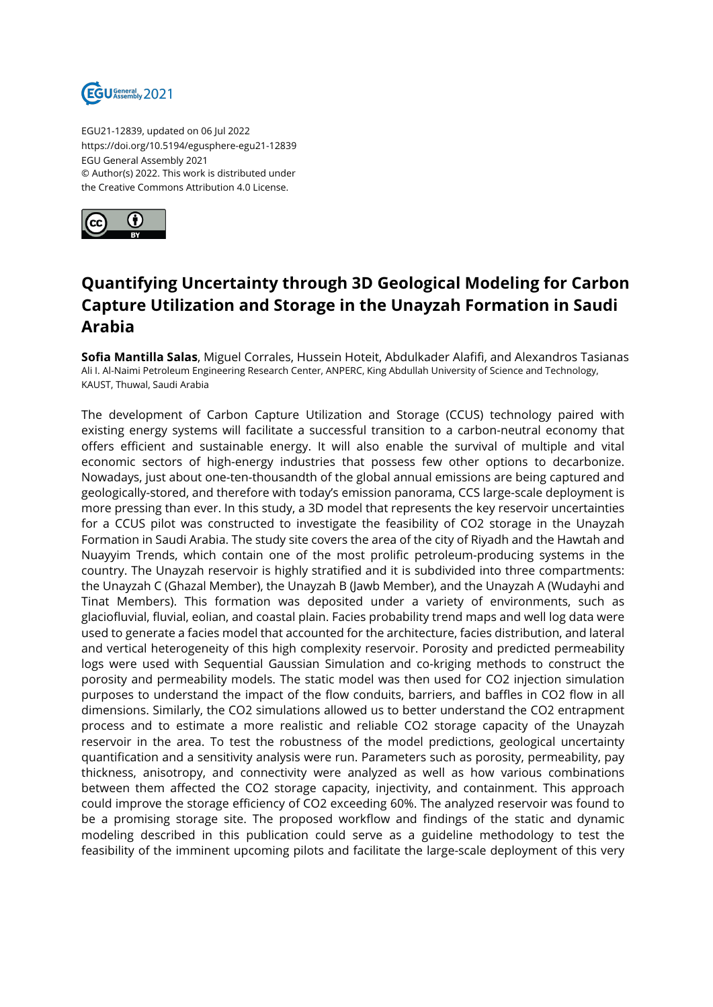

EGU21-12839, updated on 06 Jul 2022 https://doi.org/10.5194/egusphere-egu21-12839 EGU General Assembly 2021 © Author(s) 2022. This work is distributed under the Creative Commons Attribution 4.0 License.



## **Quantifying Uncertainty through 3D Geological Modeling for Carbon Capture Utilization and Storage in the Unayzah Formation in Saudi Arabia**

**Sofia Mantilla Salas**, Miguel Corrales, Hussein Hoteit, Abdulkader Alafifi, and Alexandros Tasianas Ali I. Al-Naimi Petroleum Engineering Research Center, ANPERC, King Abdullah University of Science and Technology, KAUST, Thuwal, Saudi Arabia

The development of Carbon Capture Utilization and Storage (CCUS) technology paired with existing energy systems will facilitate a successful transition to a carbon-neutral economy that offers efficient and sustainable energy. It will also enable the survival of multiple and vital economic sectors of high-energy industries that possess few other options to decarbonize. Nowadays, just about one-ten-thousandth of the global annual emissions are being captured and geologically-stored, and therefore with today's emission panorama, CCS large-scale deployment is more pressing than ever. In this study, a 3D model that represents the key reservoir uncertainties for a CCUS pilot was constructed to investigate the feasibility of CO2 storage in the Unayzah Formation in Saudi Arabia. The study site covers the area of the city of Riyadh and the Hawtah and Nuayyim Trends, which contain one of the most prolific petroleum-producing systems in the country. The Unayzah reservoir is highly stratified and it is subdivided into three compartments: the Unayzah C (Ghazal Member), the Unayzah B (Jawb Member), and the Unayzah A (Wudayhi and Tinat Members). This formation was deposited under a variety of environments, such as glaciofluvial, fluvial, eolian, and coastal plain. Facies probability trend maps and well log data were used to generate a facies model that accounted for the architecture, facies distribution, and lateral and vertical heterogeneity of this high complexity reservoir. Porosity and predicted permeability logs were used with Sequential Gaussian Simulation and co-kriging methods to construct the porosity and permeability models. The static model was then used for CO2 injection simulation purposes to understand the impact of the flow conduits, barriers, and baffles in CO2 flow in all dimensions. Similarly, the CO2 simulations allowed us to better understand the CO2 entrapment process and to estimate a more realistic and reliable CO2 storage capacity of the Unayzah reservoir in the area. To test the robustness of the model predictions, geological uncertainty quantification and a sensitivity analysis were run. Parameters such as porosity, permeability, pay thickness, anisotropy, and connectivity were analyzed as well as how various combinations between them affected the CO2 storage capacity, injectivity, and containment. This approach could improve the storage efficiency of CO2 exceeding 60%. The analyzed reservoir was found to be a promising storage site. The proposed workflow and findings of the static and dynamic modeling described in this publication could serve as a guideline methodology to test the feasibility of the imminent upcoming pilots and facilitate the large-scale deployment of this very